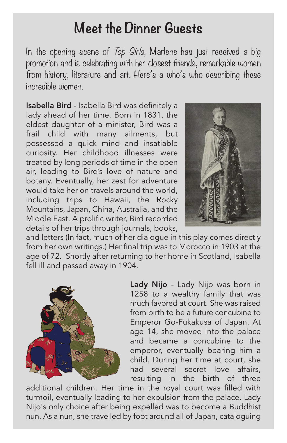## **Meet the Dinner Guests**

In the opening scene of Top Girls, Marlene has just received a big promotion and is celebrating with her closest friends, remarkable women from history, literature and art. Here's a who's who describing these incredible women.

Isabella Bird - Isabella Bird was definitely a lady ahead of her time. Born in 1831, the eldest daughter of a minister, Bird was a frail child with many ailments, but possessed a quick mind and insatiable curiosity. Her childhood illnesses were treated by long periods of time in the open air, leading to Bird's love of nature and botany. Eventually, her zest for adventure would take her on travels around the world, including trips to Hawaii, the Rocky Mountains, Japan, China, Australia, and the Middle East. A prolific writer, Bird recorded details of her trips through journals, books,



and letters (In fact, much of her dialogue in this play comes directly from her own writings.) Her final trip was to Morocco in 1903 at the age of 72. Shortly after returning to her home in Scotland, Isabella fell ill and passed away in 1904.



Lady Nijo - Lady Nijo was born in 1258 to a wealthy family that was much favored at court. She was raised from birth to be a future concubine to Emperor Go-Fukakusa of Japan. At age 14, she moved into the palace and became a concubine to the emperor, eventually bearing him a child. During her time at court, she had several secret love affairs, resulting in the birth of three

additional children. Her time in the royal court was filled with turmoil, eventually leading to her expulsion from the palace. Lady Nijo's only choice after being expelled was to become a Buddhist nun. As a nun, she travelled by foot around all of Japan, cataloguing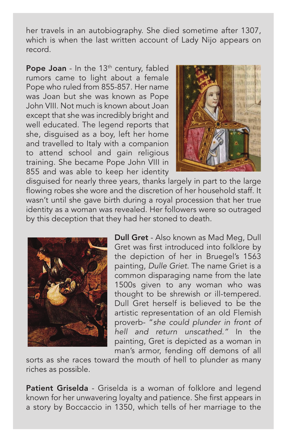her travels in an autobiography. She died sometime after 1307, which is when the last written account of Lady Nijo appears on record.

Pope Joan - In the  $13<sup>th</sup>$  century, fabled rumors came to light about a female Pope who ruled from 855-857. Her name was Joan but she was known as Pope John VIII. Not much is known about Joan except that she was incredibly bright and well educated. The legend reports that she, disguised as a boy, left her home and travelled to Italy with a companion to attend school and gain religious training. She became Pope John VIII in 855 and was able to keep her identity



disguised for nearly three years, thanks largely in part to the large flowing robes she wore and the discretion of her household staff. It wasn't until she gave birth during a royal procession that her true identity as a woman was revealed. Her followers were so outraged by this deception that they had her stoned to death.



Dull Gret - Also known as Mad Meg, Dull Gret was first introduced into folklore by the depiction of her in Bruegel's 1563 painting, Dulle Griet. The name Griet is a common disparaging name from the late 1500s given to any woman who was thought to be shrewish or ill-tempered. Dull Gret herself is believed to be the artistic representation of an old Flemish proverb- "she could plunder in front of hell and return unscathed." In the painting, Gret is depicted as a woman in man's armor, fending off demons of all

sorts as she races toward the mouth of hell to plunder as many riches as possible.

Patient Griselda - Griselda is a woman of folklore and legend known for her unwavering loyalty and patience. She first appears in a story by Boccaccio in 1350, which tells of her marriage to the